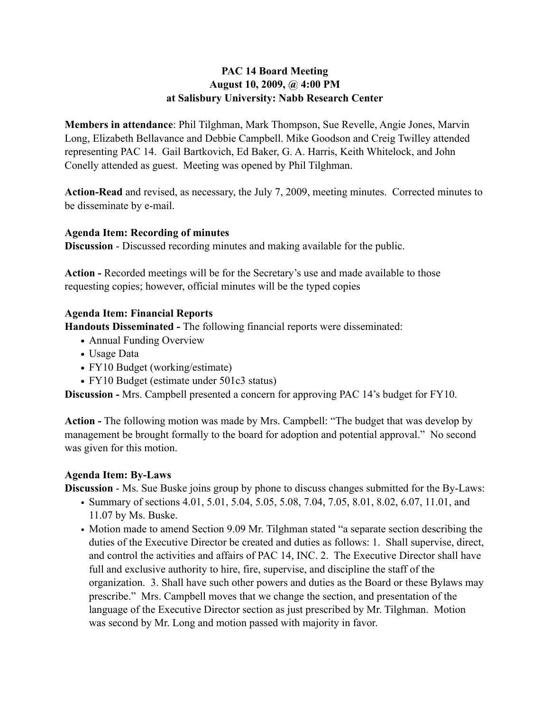# **PAC 14 Board Meeting August 10, 2009, @ 4:00 PM at Salisbury University: Nabb Research Center**

**Members in attendance**: Phil Tilghman, Mark Thompson, Sue Revelle, Angie Jones, Marvin Long, Elizabeth Bellavance and Debbie Campbell. Mike Goodson and Creig Twilley attended representing PAC 14. Gail Bartkovich, Ed Baker, G. A. Harris, Keith Whitelock, and John Conelly attended as guest. Meeting was opened by Phil Tilghman.

**Action-Read** and revised, as necessary, the July 7, 2009, meeting minutes. Corrected minutes to be disseminate by e-mail.

#### **Agenda Item: Recording of minutes**

**Discussion** - Discussed recording minutes and making available for the public.

**Action -** Recorded meetings will be for the Secretary's use and made available to those requesting copies; however, official minutes will be the typed copies

#### **Agenda Item: Financial Reports**

**Handouts Disseminated -** The following financial reports were disseminated:

- **•** Annual Funding Overview
- **•** Usage Data
- **•** FY10 Budget (working/estimate)
- **•** FY10 Budget (estimate under 501c3 status)

**Discussion -** Mrs. Campbell presented a concern for approving PAC 14's budget for FY10.

**Action -** The following motion was made by Mrs. Campbell: "The budget that was develop by management be brought formally to the board for adoption and potential approval." No second was given for this motion.

## **Agenda Item: By-Laws**

**Discussion** - Ms. Sue Buske joins group by phone to discuss changes submitted for the By-Laws:

- Summary of sections 4.01, 5.01, 5.04, 5.05, 5.08, 7.04, 7.05, 8.01, 8.02, 6.07, 11.01, and 11.07 by Ms. Buske.
- Motion made to amend Section 9.09 Mr. Tilghman stated "a separate section describing the duties of the Executive Director be created and duties as follows: 1. Shall supervise, direct, and control the activities and affairs of PAC 14, INC. 2. The Executive Director shall have full and exclusive authority to hire, fire, supervise, and discipline the staff of the organization. 3. Shall have such other powers and duties as the Board or these Bylaws may prescribe." Mrs. Campbell moves that we change the section, and presentation of the language of the Executive Director section as just prescribed by Mr. Tilghman. Motion was second by Mr. Long and motion passed with majority in favor.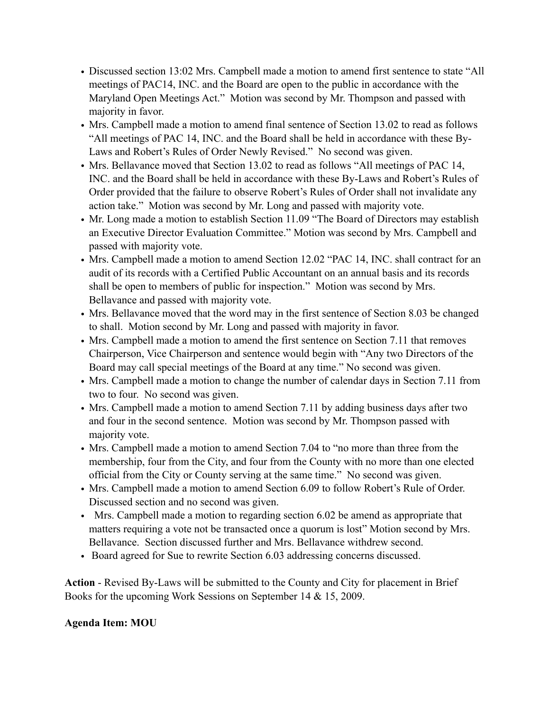- Discussed section 13:02 Mrs. Campbell made a motion to amend first sentence to state "All meetings of PAC14, INC. and the Board are open to the public in accordance with the Maryland Open Meetings Act." Motion was second by Mr. Thompson and passed with majority in favor.
- Mrs. Campbell made a motion to amend final sentence of Section 13.02 to read as follows "All meetings of PAC 14, INC. and the Board shall be held in accordance with these By-Laws and Robert's Rules of Order Newly Revised." No second was given.
- Mrs. Bellavance moved that Section 13.02 to read as follows "All meetings of PAC 14, INC. and the Board shall be held in accordance with these By-Laws and Robert's Rules of Order provided that the failure to observe Robert's Rules of Order shall not invalidate any action take." Motion was second by Mr. Long and passed with majority vote.
- Mr. Long made a motion to establish Section 11.09 "The Board of Directors may establish an Executive Director Evaluation Committee." Motion was second by Mrs. Campbell and passed with majority vote.
- Mrs. Campbell made a motion to amend Section 12.02 "PAC 14, INC. shall contract for an audit of its records with a Certified Public Accountant on an annual basis and its records shall be open to members of public for inspection." Motion was second by Mrs. Bellavance and passed with majority vote.
- Mrs. Bellavance moved that the word may in the first sentence of Section 8.03 be changed to shall. Motion second by Mr. Long and passed with majority in favor.
- Mrs. Campbell made a motion to amend the first sentence on Section 7.11 that removes Chairperson, Vice Chairperson and sentence would begin with "Any two Directors of the Board may call special meetings of the Board at any time." No second was given.
- Mrs. Campbell made a motion to change the number of calendar days in Section 7.11 from two to four. No second was given.
- Mrs. Campbell made a motion to amend Section 7.11 by adding business days after two and four in the second sentence. Motion was second by Mr. Thompson passed with majority vote.
- Mrs. Campbell made a motion to amend Section 7.04 to "no more than three from the membership, four from the City, and four from the County with no more than one elected official from the City or County serving at the same time." No second was given.
- Mrs. Campbell made a motion to amend Section 6.09 to follow Robert's Rule of Order. Discussed section and no second was given.
- Mrs. Campbell made a motion to regarding section 6.02 be amend as appropriate that matters requiring a vote not be transacted once a quorum is lost" Motion second by Mrs. Bellavance. Section discussed further and Mrs. Bellavance withdrew second.
- Board agreed for Sue to rewrite Section 6.03 addressing concerns discussed.

**Action** - Revised By-Laws will be submitted to the County and City for placement in Brief Books for the upcoming Work Sessions on September 14 & 15, 2009.

## **Agenda Item: MOU**